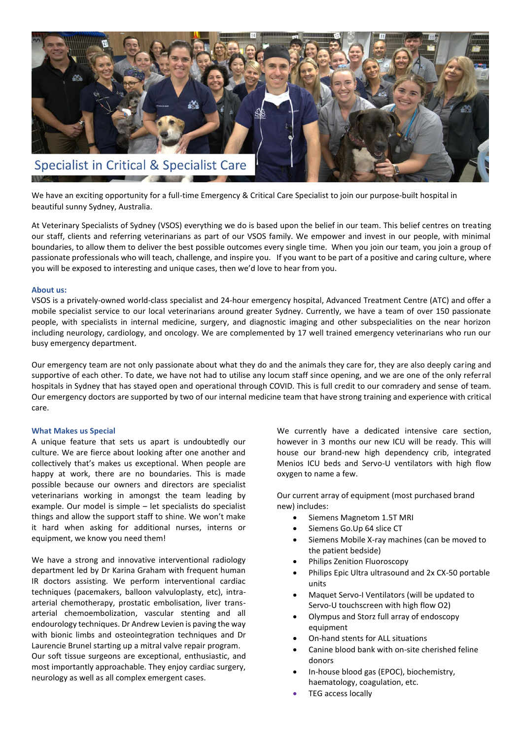

We have an exciting opportunity for a full-time Emergency & Critical Care Specialist to join our purpose-built hospital in beautiful sunny Sydney, Australia.

At Veterinary Specialists of Sydney (VSOS) everything we do is based upon the belief in our team. This belief centres on treating our staff, clients and referring veterinarians as part of our VSOS family. We empower and invest in our people, with minimal boundaries, to allow them to deliver the best possible outcomes every single time. When you join our team, you join a group of passionate professionals who will teach, challenge, and inspire you. If you want to be part of a positive and caring culture, where you will be exposed to interesting and unique cases, then we'd love to hear from you.

# **About us:**

VSOS is a privately-owned world-class specialist and 24-hour emergency hospital, Advanced Treatment Centre (ATC) and offer a mobile specialist service to our local veterinarians around greater Sydney. Currently, we have a team of over 150 passionate people, with specialists in internal medicine, surgery, and diagnostic imaging and other subspecialities on the near horizon including neurology, cardiology, and oncology. We are complemented by 17 well trained emergency veterinarians who run our busy emergency department.

Our emergency team are not only passionate about what they do and the animals they care for, they are also deeply caring and supportive of each other. To date, we have not had to utilise any locum staff since opening, and we are one of the only referral hospitals in Sydney that has stayed open and operational through COVID. This is full credit to our comradery and sense of team. Our emergency doctors are supported by two of our internal medicine team that have strong training and experience with critical care.

# **What Makes us Special**

A unique feature that sets us apart is undoubtedly our culture. We are fierce about looking after one another and collectively that's makes us exceptional. When people are happy at work, there are no boundaries. This is made possible because our owners and directors are specialist veterinarians working in amongst the team leading by example. Our model is simple – let specialists do specialist things and allow the support staff to shine. We won't make it hard when asking for additional nurses, interns or equipment, we know you need them!

We have a strong and innovative interventional radiology department led by Dr Karina Graham with frequent human IR doctors assisting. We perform interventional cardiac techniques (pacemakers, balloon valvuloplasty, etc), intraarterial chemotherapy, prostatic embolisation, liver transarterial chemoembolization, vascular stenting and all endourology techniques. Dr Andrew Levien is paving the way with bionic limbs and osteointegration techniques and Dr Laurencie Brunel starting up a mitral valve repair program. Our soft tissue surgeons are exceptional, enthusiastic, and most importantly approachable. They enjoy cardiac surgery, neurology as well as all complex emergent cases.

We currently have a dedicated intensive care section, however in 3 months our new ICU will be ready. This will house our brand-new high dependency crib, integrated Menios ICU beds and Servo-U ventilators with high flow oxygen to name a few.

Our current array of equipment (most purchased brand new) includes:

- Siemens Magnetom 1.5T MRI
- Siemens Go.Up 64 slice CT
- Siemens Mobile X-ray machines (can be moved to the patient bedside)
- Philips Zenition Fluoroscopy
- Philips Epic Ultra ultrasound and 2x CX-50 portable units
- Maquet Servo-I Ventilators (will be updated to Servo-U touchscreen with high flow O2)
- Olympus and Storz full array of endoscopy equipment
- On-hand stents for ALL situations
- Canine blood bank with on-site cherished feline donors
- In-house blood gas (EPOC), biochemistry, haematology, coagulation, etc.
- TEG access locally